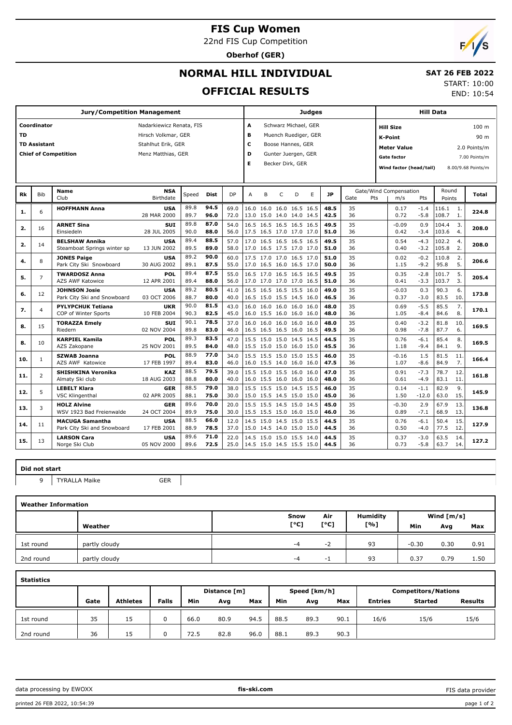## **FIS Cup Women**

22nd FIS Cup Competition

**Oberhof (GER)**

# $F/1/s$

# **NORMAL HILL INDIVIDUAL**

## **SAT 26 FEB 2022**

### **OFFICIAL RESULTS**

START: 10:00

END: 10:54

| <b>Jury/Competition Management</b>      |                     |                             |                            |            |             |                          | <b>Judges</b> |                          |                          |                     |    |           | <b>Hill Data</b> |                                    |                                     |         |        |      |                    |  |
|-----------------------------------------|---------------------|-----------------------------|----------------------------|------------|-------------|--------------------------|---------------|--------------------------|--------------------------|---------------------|----|-----------|------------------|------------------------------------|-------------------------------------|---------|--------|------|--------------------|--|
| Coordinator<br>Nadarkiewicz Renata, FIS |                     |                             |                            |            | A           | Schwarz Michael, GER     |               |                          |                          | <b>Hill Size</b>    |    |           | 100 m            |                                    |                                     |         |        |      |                    |  |
| TD                                      |                     |                             | Hirsch Volkmar, GER        |            |             |                          | в             | Muench Ruediger, GER     |                          |                     |    |           |                  | <b>K-Point</b><br>90 m             |                                     |         |        |      |                    |  |
|                                         | <b>TD Assistant</b> |                             | Stahlhut Erik, GER         |            |             |                          | c             | Boose Hannes, GER        |                          |                     |    |           |                  | <b>Meter Value</b><br>2.0 Points/m |                                     |         |        |      |                    |  |
|                                         |                     | <b>Chief of Competition</b> | Menz Matthias, GER         |            |             |                          | D             |                          |                          | Gunter Juergen, GER |    |           |                  |                                    | <b>Gate factor</b><br>7.00 Points/m |         |        |      |                    |  |
|                                         |                     |                             |                            |            |             |                          | Е             |                          |                          | Becker Dirk, GER    |    |           |                  |                                    |                                     |         |        |      |                    |  |
|                                         |                     |                             |                            |            |             |                          |               |                          |                          |                     |    |           |                  |                                    | Wind factor (head/tail)             |         |        |      | 8.00/9.68 Points/m |  |
|                                         |                     |                             | <b>NSA</b>                 |            |             |                          |               |                          |                          |                     |    |           |                  | Gate/Wind Compensation             |                                     | Round   |        |      |                    |  |
| Rk                                      | <b>Bib</b>          | Name<br>Club                | Birthdate                  | Speed      | <b>Dist</b> | DP                       | A             | B                        | C                        | D                   | E  | <b>JP</b> | Gate<br>Pts      |                                    | m/s                                 | Pts     | Points |      | Total              |  |
| 1.                                      | 6                   | <b>HOFFMANN Anna</b>        | <b>USA</b>                 | 89.8       | 94.5        | 69.0                     |               | 16.0 16.0 16.0 16.5 16.5 |                          |                     |    | 48.5      | 35               |                                    | 0.17                                | $-1.4$  | 116.1  | 1.   | 224.8              |  |
|                                         |                     |                             | 28 MAR 2000                | 89.7       | 96.0        | 72.0                     |               | 13.0 15.0 14.0 14.0 14.5 |                          |                     |    | 42.5      | 36               |                                    | 0.72                                | $-5.8$  | 108.7  | 1.   |                    |  |
|                                         | 16                  | <b>ARNET Sina</b>           | <b>SUI</b>                 | 89.8       | 87.0        | 54.0                     |               | 16.5 16.5 16.5 16.5 16.5 |                          |                     |    | 49.5      | 35               |                                    | $-0.09$                             | 0.9     | 104.4  | 3.   | 208.0              |  |
| 2.                                      |                     | Einsiedeln                  | 28 JUL 2005                | 90.0       | 88.0        | 56.0                     |               | 17.5 16.5 17.0 17.0 17.0 |                          |                     |    | 51.0      | 36               |                                    | 0.42                                | $-3.4$  | 103.6  | 4.   |                    |  |
|                                         |                     | <b>BELSHAW Annika</b>       | <b>USA</b>                 | 89.4       | 88.5        | 57.0                     |               | 17.0 16.5 16.5 16.5 16.5 |                          |                     |    | 49.5      | 35               |                                    | 0.54                                | $-4.3$  | 102.2  | 4.   |                    |  |
| 2.                                      | 14                  | Steamboat Springs winter sp | 13 JUN 2002                | 89.5       | 89.0        | 58.0                     |               | 17.0 16.5 17.5 17.0 17.0 |                          |                     |    | 51.0      | 36               |                                    | 0.40                                | $-3.2$  | 105.8  | 2.   | 208.0              |  |
| 4.                                      | 8                   | <b>JONES Paige</b>          | <b>USA</b>                 | 89.2       | 90.0        | 60.0                     |               | 17.5 17.0 17.0 16.5 17.0 |                          |                     |    | 51.0      | 35               |                                    | 0.02                                | $-0.2$  | 110.8  | 2.   |                    |  |
|                                         |                     | Park City Ski Snowboard     | 30 AUG 2002                | 89.1       | 87.5        | 55.0                     |               | 17.0 16.5 16.0 16.5 17.0 |                          |                     |    | 50.0      | 36               |                                    | 1.15                                | $-9.2$  | 95.8   | 5.   | 206.6              |  |
| 5.                                      |                     | <b>TWARDOSZ Anna</b>        | POL                        | 89.4       | 87.5        | 55.0                     |               | 16.5 17.0 16.5 16.5 16.5 |                          |                     |    | 49.5      | 35               |                                    | 0.35                                | $-2.8$  | 101.7  | 5.   |                    |  |
|                                         | $\overline{7}$      | <b>AZS AWF Katowice</b>     | 12 APR 2001                | 89.4       | 88.0        | 56.0                     |               | 17.0 17.0 17.0 17.0 16.5 |                          |                     |    | 51.0      | 36               |                                    | 0.41                                | $-3.3$  | 103.7  | 3.   | 205.4              |  |
| 6.                                      | 12                  | <b>JOHNSON Josie</b>        | <b>USA</b>                 | 89.2       | 80.5        | 41.0                     | 16.5          | 16.5 16.5 15.5 16.0      |                          |                     |    | 49.0      | 35               |                                    | $-0.03$                             | 0.3     | 90.3   | 6.   |                    |  |
|                                         |                     | Park City Ski and Snowboard | 03 OCT 2006                | 88.7       | 80.0        | 40.0                     |               | 16.5 15.0 15.5 14.5 16.0 |                          |                     |    | 46.5      | 36               |                                    | 0.37                                | $-3.0$  | 83.5   | 10.  | 173.8              |  |
|                                         |                     | <b>PYLYPCHUK Tetiana</b>    | UKR                        | 90.0       | 81.5        | 43.0                     |               | 16.0 16.0 16.0 16.0 16.0 |                          |                     |    | 48.0      | 35               |                                    | 0.69                                | $-5.5$  | 85.5   | 7.   |                    |  |
| 7.                                      | $\overline{4}$      | COP of Winter Sports        | 10 FEB 2004                | 90.3       | 82.5        | 45.0                     |               | 16.0 15.5 16.0 16.0 16.0 |                          |                     |    | 48.0      | 36               |                                    | 1.05                                | $-8.4$  | 84.6   | 8.   | 170.1              |  |
|                                         |                     | <b>TORAZZA Emely</b>        | <b>SUI</b>                 | 90.1       | 78.5        | 37.0                     | 16.0          | 16.0 16.0 16.0 16.0      |                          |                     |    | 48.0      | 35               |                                    | 0.40                                | $-3.2$  | 81.8   | 10.  |                    |  |
| 8.                                      | 15                  | Riedern                     | 02 NOV 2004                | 89.8       | 83.0        | 46.0                     |               | 16.5 16.5 16.5 16.0 16.5 |                          |                     |    | 49.5      | 36               |                                    | 0.98                                | $-7.8$  | 87.7   | 6.   | 169.5              |  |
|                                         |                     | <b>KARPIEL Kamila</b>       | POL                        | 89.3       | 83.5        | 47.0                     |               | 15.5 15.0 15.0 14.5 14.5 |                          |                     |    | 44.5      | 35               |                                    | 0.76                                | $-6.1$  | 85.4   | 8.   |                    |  |
| 8.                                      | 10                  | AZS Zakopane                | 25 NOV 2001                | 89.5       | 84.0        | 48.0                     |               | 15.5 15.0 15.0 16.0 15.0 |                          |                     |    | 45.5      | 36               |                                    | 1.18                                | $-9.4$  | 84.1   | 9.   | 169.5              |  |
|                                         |                     | <b>SZWAB Joanna</b>         | POL                        | 88.9       | 77.0        | 34.0                     | 15.5          | 15.5 15.0 15.0 15.5      |                          |                     |    | 46.0      | 35               |                                    | $-0.16$                             | 1.5     | 81.5   | 11   |                    |  |
| 10.                                     | $\mathbf{1}$        | AZS AWF Katowice            | 17 FEB 1997                | 89.4       | 83.0        | 46.0                     |               | 16.0 15.5 14.0 16.0 16.0 |                          |                     |    | 47.5      | 36               |                                    | 1.07                                | $-8.6$  | 84.9   | 7.   | 166.4              |  |
|                                         | $\overline{2}$      |                             | SHISHKINA Veronika         | <b>KAZ</b> | 88.5        | 79.5                     | 39.0          |                          | 15.5 15.0 15.5 16.0 16.0 |                     |    |           | 47.0             | 35                                 |                                     | 0.91    | $-7.3$ | 78.7 | 12.                |  |
| 11.                                     |                     | Almaty Ski club             | 18 AUG 2003                | 88.8       | 80.0        | 40.0                     |               | 16.0 15.5 16.0 16.0 16.0 |                          |                     |    | 48.0      | 36               |                                    | 0.61                                | $-4.9$  | 83.1   | 11   | 161.8              |  |
|                                         |                     | <b>LEBELT Klara</b>         | <b>GER</b>                 | 88.5       | 79.0        | 38.0                     |               | 15.5 15.5 15.0 14.5 15.5 |                          |                     |    | 46.0      | 35               |                                    | 0.14                                | $-1.1$  | 82.9   | 9.   |                    |  |
| 12.                                     | 5                   | <b>VSC Klingenthal</b>      | 02 APR 2005                | 88.1       | 75.0        | 30.0                     |               | 15.0 15.5 14.5 15.0 15.0 |                          |                     |    | 45.0      | 36               |                                    | 1.50                                | $-12.0$ | 63.0   | 15.  | 145.9              |  |
|                                         | 3                   | <b>HOLZ Alvine</b>          | 89.6<br>70.0<br><b>GER</b> | 20.0       |             | 15.5 15.5 14.5 15.0 14.5 |               |                          |                          | 45.0                | 35 |           | $-0.30$          | 2.9                                | 67.9                                | 13      |        |      |                    |  |
| 13.                                     |                     | WSV 1923 Bad Freienwalde    | 24 OCT 2004                | 89.9       | 75.0        | 30.0                     |               | 15.5 15.5 15.0 16.0 15.0 |                          |                     |    | 46.0      | 36               |                                    | 0.89                                | $-7.1$  | 68.9   | 13.  | 136.8              |  |
|                                         |                     | <b>MACUGA Samantha</b>      | <b>USA</b>                 | 88.5       | 66.0        | 12.0                     | 14.5          |                          |                          | 15.0 14.5 15.0 15.5 |    | 44.5      | 35               |                                    | 0.76                                | $-6.1$  | 50.4   | 15.  |                    |  |
| 14.                                     | 11                  | Park City Ski and Snowboard | 17 FEB 2001                | 88.9       | 78.5        | 37.0                     |               | 15.0 14.5 14.0 15.0 15.0 |                          |                     |    | 44.5      | 36               |                                    | 0.50                                | $-4.0$  | 77.5   | 12.  | 127.9              |  |
|                                         |                     | <b>LARSON Cara</b>          | <b>USA</b>                 | 89.6       | 71.0        | 22.0                     |               | 14.5 15.0 15.0 15.5 14.0 |                          |                     |    | 44.5      | 35               |                                    | 0.37                                | $-3.0$  | 63.5   | 14   |                    |  |
| 15.                                     | 13                  | Norge Ski Club              | 05 NOV 2000                | 89.6       | 72.5        | 25.0                     |               | 14.5 15.0 14.5 15.5 15.0 |                          |                     |    | 44.5      | 36               |                                    | 0.73                                | $-5.8$  | 63.7   | 14.  | 127.2              |  |
|                                         |                     |                             |                            |            |             |                          |               |                          |                          |                     |    |           |                  |                                    |                                     |         |        |      |                    |  |

#### **Did not start**

9 TYRALLA Maike GER

| <b>Weather Information</b> |               |      |      |          |              |      |      |  |  |  |  |
|----------------------------|---------------|------|------|----------|--------------|------|------|--|--|--|--|
|                            |               | Snow | Air  | Humidity | Wind $[m/s]$ |      |      |  |  |  |  |
|                            | Weather       | [°C] | [°C] | [%]      | Min          | Avg  | Max  |  |  |  |  |
| 1st round                  | partly cloudy | $-4$ | -2   | 93       | $-0.30$      | 0.30 | 0.91 |  |  |  |  |
| 2nd round                  | partly cloudy | $-4$ | - 1  | 93       | 0.37         | 0.79 | 1.50 |  |  |  |  |

| <b>Statistics</b> |      |                 |              |              |      |      |      |              |      |                            |                |                |  |
|-------------------|------|-----------------|--------------|--------------|------|------|------|--------------|------|----------------------------|----------------|----------------|--|
|                   |      |                 |              | Distance [m] |      |      |      | Speed [km/h] |      | <b>Competitors/Nations</b> |                |                |  |
|                   | Gate | <b>Athletes</b> | <b>Falls</b> | Min          | Avg  | Max  | Min  | Avg          | Max  | <b>Entries</b>             | <b>Started</b> | <b>Results</b> |  |
| 1st round         | 35   | 15              | $\Omega$     | 66.0         | 80.9 | 94.5 | 88.5 | 89.3         | 90.1 | 16/6                       | 15/6           | 15/6           |  |
| 2nd round         | 36   | 15              |              | 72.5         | 82.8 | 96.0 | 88.1 | 89.3         | 90.3 |                            |                |                |  |

data processing by EWOXX **fis-ski.com**